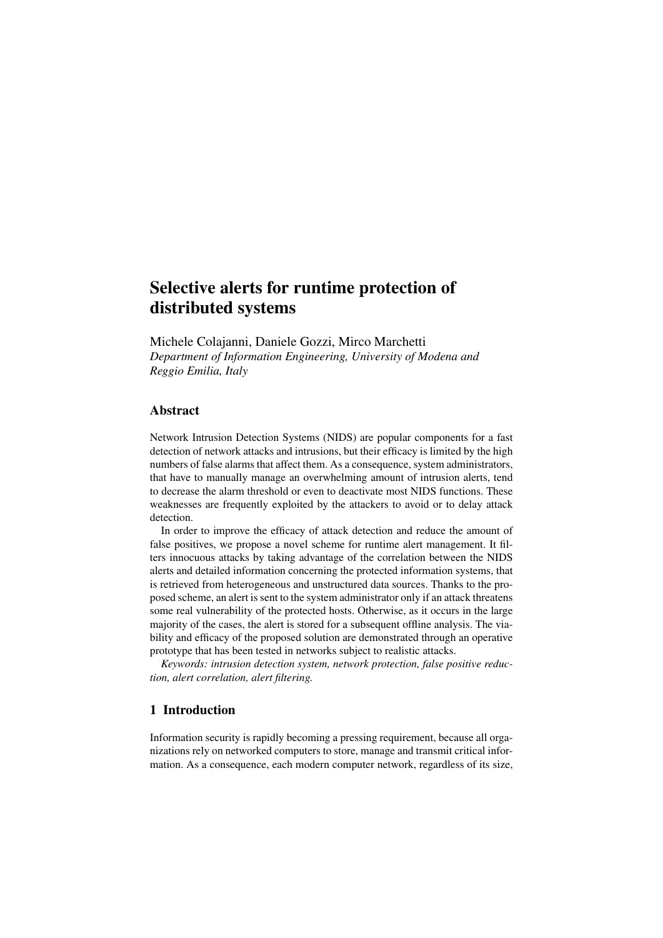# Selective alerts for runtime protection of distributed systems

Michele Colajanni, Daniele Gozzi, Mirco Marchetti *Department of Information Engineering, University of Modena and Reggio Emilia, Italy*

# Abstract

Network Intrusion Detection Systems (NIDS) are popular components for a fast detection of network attacks and intrusions, but their efficacy is limited by the high numbers of false alarms that affect them. As a consequence, system administrators, that have to manually manage an overwhelming amount of intrusion alerts, tend to decrease the alarm threshold or even to deactivate most NIDS functions. These weaknesses are frequently exploited by the attackers to avoid or to delay attack detection.

In order to improve the efficacy of attack detection and reduce the amount of false positives, we propose a novel scheme for runtime alert management. It filters innocuous attacks by taking advantage of the correlation between the NIDS alerts and detailed information concerning the protected information systems, that is retrieved from heterogeneous and unstructured data sources. Thanks to the proposed scheme, an alert is sent to the system administrator only if an attack threatens some real vulnerability of the protected hosts. Otherwise, as it occurs in the large majority of the cases, the alert is stored for a subsequent offline analysis. The viability and efficacy of the proposed solution are demonstrated through an operative prototype that has been tested in networks subject to realistic attacks.

*Keywords: intrusion detection system, network protection, false positive reduction, alert correlation, alert filtering.*

## 1 Introduction

Information security is rapidly becoming a pressing requirement, because all organizations rely on networked computers to store, manage and transmit critical information. As a consequence, each modern computer network, regardless of its size,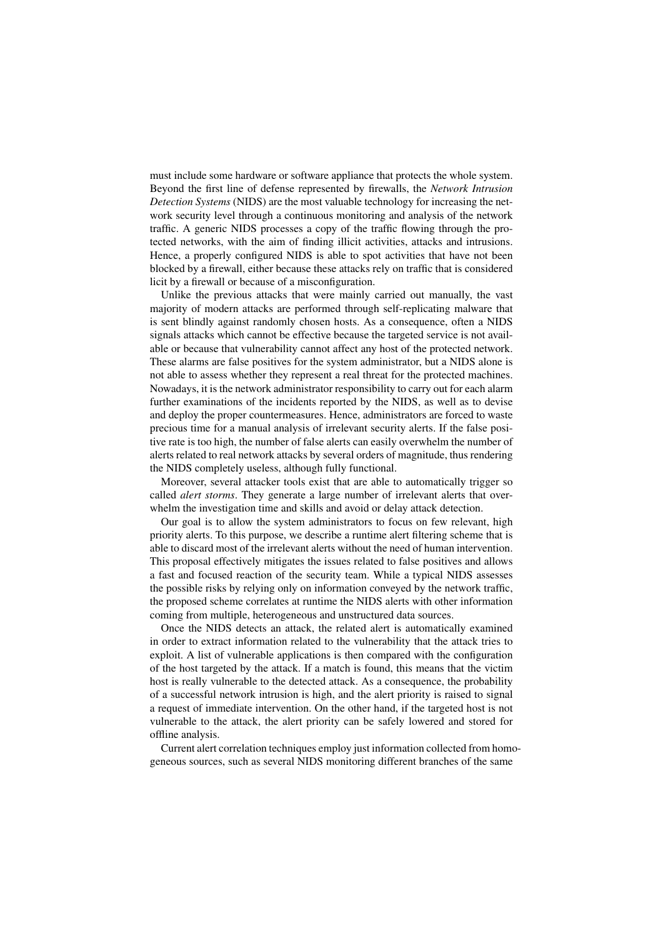must include some hardware or software appliance that protects the whole system. Beyond the first line of defense represented by firewalls, the *Network Intrusion Detection Systems* (NIDS) are the most valuable technology for increasing the network security level through a continuous monitoring and analysis of the network traffic. A generic NIDS processes a copy of the traffic flowing through the protected networks, with the aim of finding illicit activities, attacks and intrusions. Hence, a properly configured NIDS is able to spot activities that have not been blocked by a firewall, either because these attacks rely on traffic that is considered licit by a firewall or because of a misconfiguration.

Unlike the previous attacks that were mainly carried out manually, the vast majority of modern attacks are performed through self-replicating malware that is sent blindly against randomly chosen hosts. As a consequence, often a NIDS signals attacks which cannot be effective because the targeted service is not available or because that vulnerability cannot affect any host of the protected network. These alarms are false positives for the system administrator, but a NIDS alone is not able to assess whether they represent a real threat for the protected machines. Nowadays, it is the network administrator responsibility to carry out for each alarm further examinations of the incidents reported by the NIDS, as well as to devise and deploy the proper countermeasures. Hence, administrators are forced to waste precious time for a manual analysis of irrelevant security alerts. If the false positive rate is too high, the number of false alerts can easily overwhelm the number of alerts related to real network attacks by several orders of magnitude, thus rendering the NIDS completely useless, although fully functional.

Moreover, several attacker tools exist that are able to automatically trigger so called *alert storms*. They generate a large number of irrelevant alerts that overwhelm the investigation time and skills and avoid or delay attack detection.

Our goal is to allow the system administrators to focus on few relevant, high priority alerts. To this purpose, we describe a runtime alert filtering scheme that is able to discard most of the irrelevant alerts without the need of human intervention. This proposal effectively mitigates the issues related to false positives and allows a fast and focused reaction of the security team. While a typical NIDS assesses the possible risks by relying only on information conveyed by the network traffic, the proposed scheme correlates at runtime the NIDS alerts with other information coming from multiple, heterogeneous and unstructured data sources.

Once the NIDS detects an attack, the related alert is automatically examined in order to extract information related to the vulnerability that the attack tries to exploit. A list of vulnerable applications is then compared with the configuration of the host targeted by the attack. If a match is found, this means that the victim host is really vulnerable to the detected attack. As a consequence, the probability of a successful network intrusion is high, and the alert priority is raised to signal a request of immediate intervention. On the other hand, if the targeted host is not vulnerable to the attack, the alert priority can be safely lowered and stored for offline analysis.

Current alert correlation techniques employ just information collected from homogeneous sources, such as several NIDS monitoring different branches of the same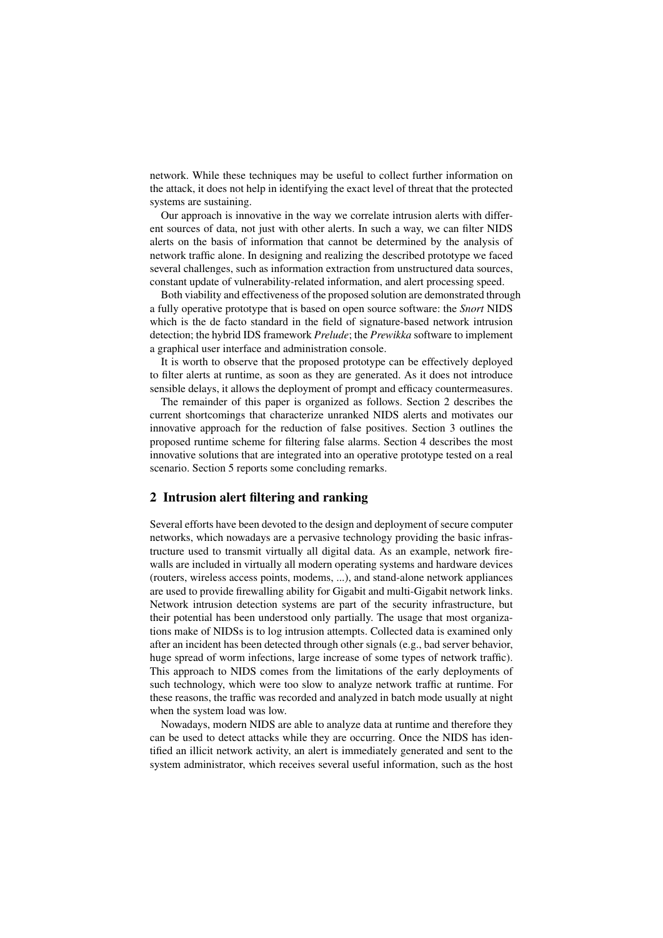network. While these techniques may be useful to collect further information on the attack, it does not help in identifying the exact level of threat that the protected systems are sustaining.

Our approach is innovative in the way we correlate intrusion alerts with different sources of data, not just with other alerts. In such a way, we can filter NIDS alerts on the basis of information that cannot be determined by the analysis of network traffic alone. In designing and realizing the described prototype we faced several challenges, such as information extraction from unstructured data sources, constant update of vulnerability-related information, and alert processing speed.

Both viability and effectiveness of the proposed solution are demonstrated through a fully operative prototype that is based on open source software: the *Snort* NIDS which is the de facto standard in the field of signature-based network intrusion detection; the hybrid IDS framework *Prelude*; the *Prewikka* software to implement a graphical user interface and administration console.

It is worth to observe that the proposed prototype can be effectively deployed to filter alerts at runtime, as soon as they are generated. As it does not introduce sensible delays, it allows the deployment of prompt and efficacy countermeasures.

The remainder of this paper is organized as follows. Section 2 describes the current shortcomings that characterize unranked NIDS alerts and motivates our innovative approach for the reduction of false positives. Section 3 outlines the proposed runtime scheme for filtering false alarms. Section 4 describes the most innovative solutions that are integrated into an operative prototype tested on a real scenario. Section 5 reports some concluding remarks.

## 2 Intrusion alert filtering and ranking

Several efforts have been devoted to the design and deployment of secure computer networks, which nowadays are a pervasive technology providing the basic infrastructure used to transmit virtually all digital data. As an example, network firewalls are included in virtually all modern operating systems and hardware devices (routers, wireless access points, modems, ...), and stand-alone network appliances are used to provide firewalling ability for Gigabit and multi-Gigabit network links. Network intrusion detection systems are part of the security infrastructure, but their potential has been understood only partially. The usage that most organizations make of NIDSs is to log intrusion attempts. Collected data is examined only after an incident has been detected through other signals (e.g., bad server behavior, huge spread of worm infections, large increase of some types of network traffic). This approach to NIDS comes from the limitations of the early deployments of such technology, which were too slow to analyze network traffic at runtime. For these reasons, the traffic was recorded and analyzed in batch mode usually at night when the system load was low.

Nowadays, modern NIDS are able to analyze data at runtime and therefore they can be used to detect attacks while they are occurring. Once the NIDS has identified an illicit network activity, an alert is immediately generated and sent to the system administrator, which receives several useful information, such as the host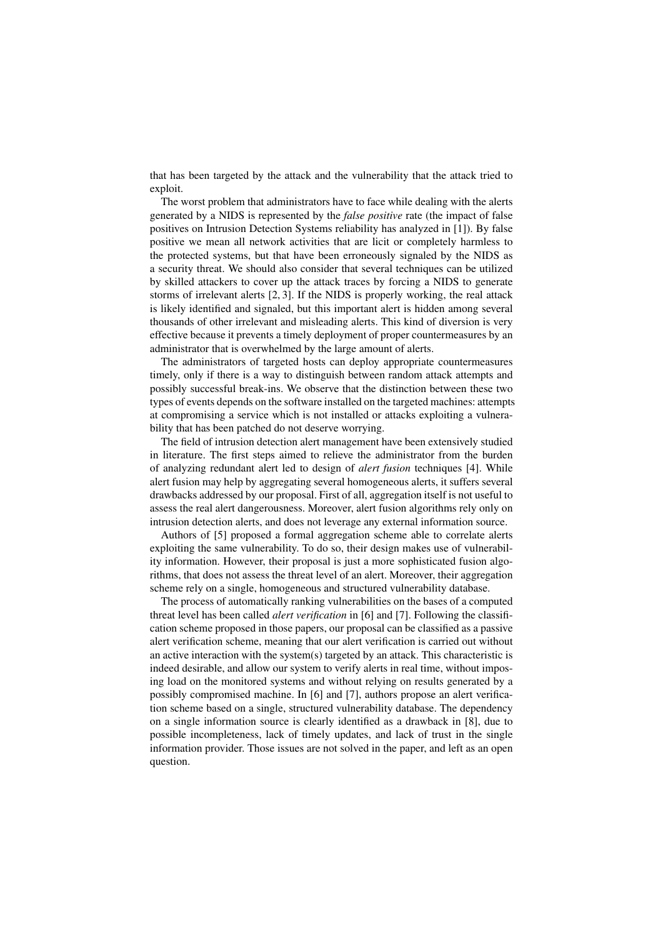that has been targeted by the attack and the vulnerability that the attack tried to exploit.

The worst problem that administrators have to face while dealing with the alerts generated by a NIDS is represented by the *false positive* rate (the impact of false positives on Intrusion Detection Systems reliability has analyzed in [1]). By false positive we mean all network activities that are licit or completely harmless to the protected systems, but that have been erroneously signaled by the NIDS as a security threat. We should also consider that several techniques can be utilized by skilled attackers to cover up the attack traces by forcing a NIDS to generate storms of irrelevant alerts [2, 3]. If the NIDS is properly working, the real attack is likely identified and signaled, but this important alert is hidden among several thousands of other irrelevant and misleading alerts. This kind of diversion is very effective because it prevents a timely deployment of proper countermeasures by an administrator that is overwhelmed by the large amount of alerts.

The administrators of targeted hosts can deploy appropriate countermeasures timely, only if there is a way to distinguish between random attack attempts and possibly successful break-ins. We observe that the distinction between these two types of events depends on the software installed on the targeted machines: attempts at compromising a service which is not installed or attacks exploiting a vulnerability that has been patched do not deserve worrying.

The field of intrusion detection alert management have been extensively studied in literature. The first steps aimed to relieve the administrator from the burden of analyzing redundant alert led to design of *alert fusion* techniques [4]. While alert fusion may help by aggregating several homogeneous alerts, it suffers several drawbacks addressed by our proposal. First of all, aggregation itself is not useful to assess the real alert dangerousness. Moreover, alert fusion algorithms rely only on intrusion detection alerts, and does not leverage any external information source.

Authors of [5] proposed a formal aggregation scheme able to correlate alerts exploiting the same vulnerability. To do so, their design makes use of vulnerability information. However, their proposal is just a more sophisticated fusion algorithms, that does not assess the threat level of an alert. Moreover, their aggregation scheme rely on a single, homogeneous and structured vulnerability database.

The process of automatically ranking vulnerabilities on the bases of a computed threat level has been called *alert verification* in [6] and [7]. Following the classification scheme proposed in those papers, our proposal can be classified as a passive alert verification scheme, meaning that our alert verification is carried out without an active interaction with the system(s) targeted by an attack. This characteristic is indeed desirable, and allow our system to verify alerts in real time, without imposing load on the monitored systems and without relying on results generated by a possibly compromised machine. In [6] and [7], authors propose an alert verification scheme based on a single, structured vulnerability database. The dependency on a single information source is clearly identified as a drawback in [8], due to possible incompleteness, lack of timely updates, and lack of trust in the single information provider. Those issues are not solved in the paper, and left as an open question.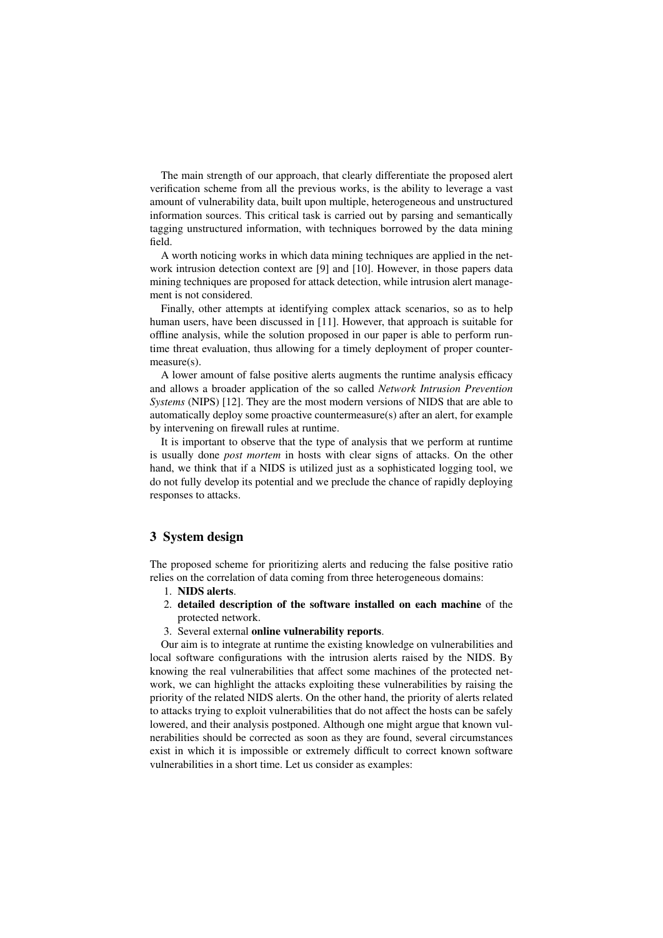The main strength of our approach, that clearly differentiate the proposed alert verification scheme from all the previous works, is the ability to leverage a vast amount of vulnerability data, built upon multiple, heterogeneous and unstructured information sources. This critical task is carried out by parsing and semantically tagging unstructured information, with techniques borrowed by the data mining field.

A worth noticing works in which data mining techniques are applied in the network intrusion detection context are [9] and [10]. However, in those papers data mining techniques are proposed for attack detection, while intrusion alert management is not considered.

Finally, other attempts at identifying complex attack scenarios, so as to help human users, have been discussed in [11]. However, that approach is suitable for offline analysis, while the solution proposed in our paper is able to perform runtime threat evaluation, thus allowing for a timely deployment of proper countermeasure(s).

A lower amount of false positive alerts augments the runtime analysis efficacy and allows a broader application of the so called *Network Intrusion Prevention Systems* (NIPS) [12]. They are the most modern versions of NIDS that are able to automatically deploy some proactive countermeasure(s) after an alert, for example by intervening on firewall rules at runtime.

It is important to observe that the type of analysis that we perform at runtime is usually done *post mortem* in hosts with clear signs of attacks. On the other hand, we think that if a NIDS is utilized just as a sophisticated logging tool, we do not fully develop its potential and we preclude the chance of rapidly deploying responses to attacks.

## 3 System design

The proposed scheme for prioritizing alerts and reducing the false positive ratio relies on the correlation of data coming from three heterogeneous domains:

- 1. NIDS alerts.
- 2. detailed description of the software installed on each machine of the protected network.
- 3. Several external online vulnerability reports.

Our aim is to integrate at runtime the existing knowledge on vulnerabilities and local software configurations with the intrusion alerts raised by the NIDS. By knowing the real vulnerabilities that affect some machines of the protected network, we can highlight the attacks exploiting these vulnerabilities by raising the priority of the related NIDS alerts. On the other hand, the priority of alerts related to attacks trying to exploit vulnerabilities that do not affect the hosts can be safely lowered, and their analysis postponed. Although one might argue that known vulnerabilities should be corrected as soon as they are found, several circumstances exist in which it is impossible or extremely difficult to correct known software vulnerabilities in a short time. Let us consider as examples: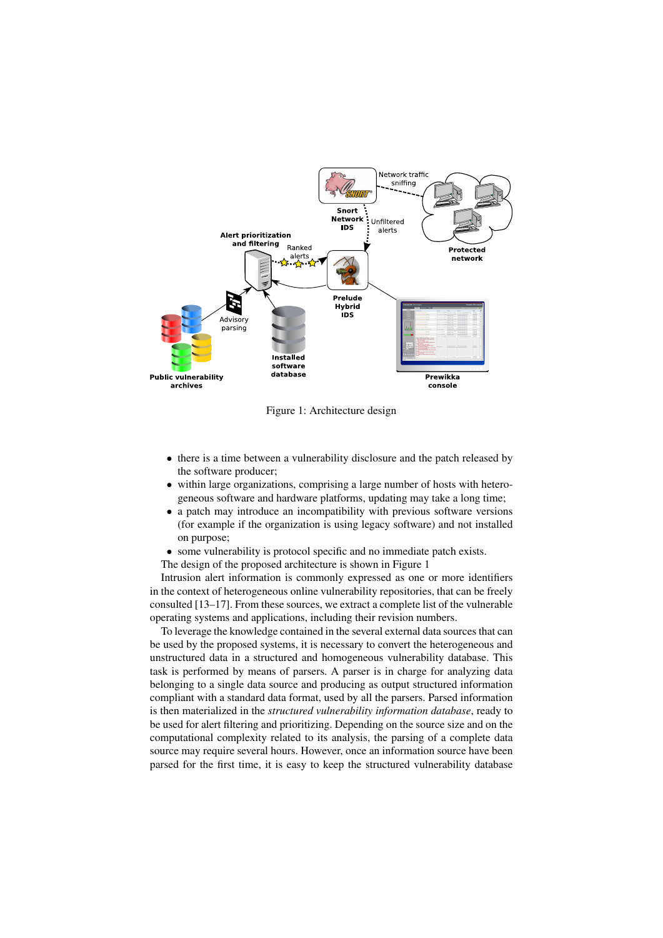

Figure 1: Architecture design

- there is a time between a vulnerability disclosure and the patch released by the software producer;
- within large organizations, comprising a large number of hosts with heterogeneous software and hardware platforms, updating may take a long time;
- a patch may introduce an incompatibility with previous software versions (for example if the organization is using legacy software) and not installed on purpose;
- some vulnerability is protocol specific and no immediate patch exists.

The design of the proposed architecture is shown in Figure 1

Intrusion alert information is commonly expressed as one or more identifiers in the context of heterogeneous online vulnerability repositories, that can be freely consulted [13–17]. From these sources, we extract a complete list of the vulnerable operating systems and applications, including their revision numbers.

To leverage the knowledge contained in the several external data sources that can be used by the proposed systems, it is necessary to convert the heterogeneous and unstructured data in a structured and homogeneous vulnerability database. This task is performed by means of parsers. A parser is in charge for analyzing data belonging to a single data source and producing as output structured information compliant with a standard data format, used by all the parsers. Parsed information is then materialized in the *structured vulnerability information database*, ready to be used for alert filtering and prioritizing. Depending on the source size and on the computational complexity related to its analysis, the parsing of a complete data source may require several hours. However, once an information source have been parsed for the first time, it is easy to keep the structured vulnerability database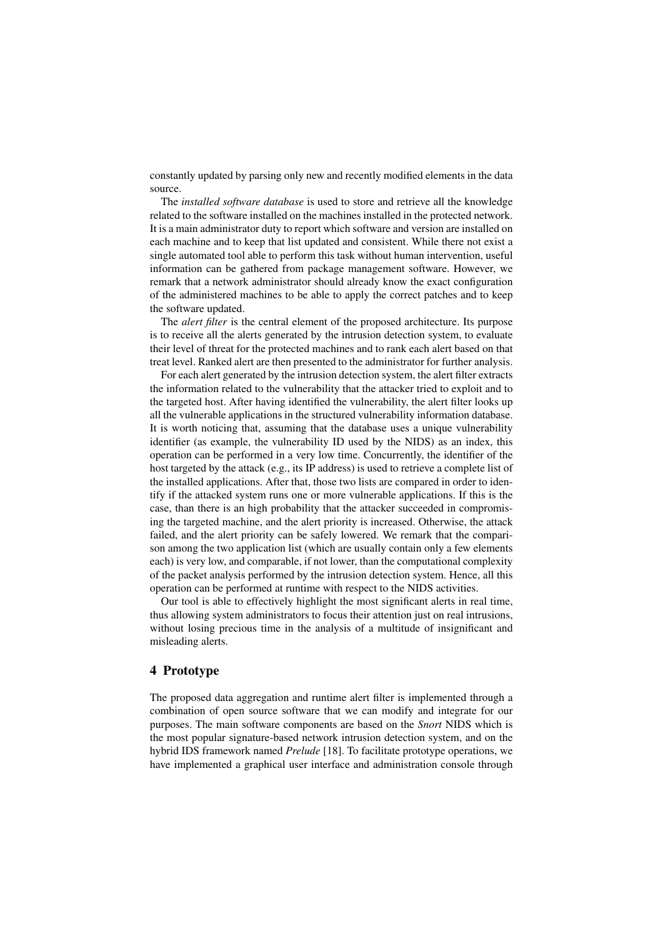constantly updated by parsing only new and recently modified elements in the data source.

The *installed software database* is used to store and retrieve all the knowledge related to the software installed on the machines installed in the protected network. It is a main administrator duty to report which software and version are installed on each machine and to keep that list updated and consistent. While there not exist a single automated tool able to perform this task without human intervention, useful information can be gathered from package management software. However, we remark that a network administrator should already know the exact configuration of the administered machines to be able to apply the correct patches and to keep the software updated.

The *alert filter* is the central element of the proposed architecture. Its purpose is to receive all the alerts generated by the intrusion detection system, to evaluate their level of threat for the protected machines and to rank each alert based on that treat level. Ranked alert are then presented to the administrator for further analysis.

For each alert generated by the intrusion detection system, the alert filter extracts the information related to the vulnerability that the attacker tried to exploit and to the targeted host. After having identified the vulnerability, the alert filter looks up all the vulnerable applications in the structured vulnerability information database. It is worth noticing that, assuming that the database uses a unique vulnerability identifier (as example, the vulnerability ID used by the NIDS) as an index, this operation can be performed in a very low time. Concurrently, the identifier of the host targeted by the attack (e.g., its IP address) is used to retrieve a complete list of the installed applications. After that, those two lists are compared in order to identify if the attacked system runs one or more vulnerable applications. If this is the case, than there is an high probability that the attacker succeeded in compromising the targeted machine, and the alert priority is increased. Otherwise, the attack failed, and the alert priority can be safely lowered. We remark that the comparison among the two application list (which are usually contain only a few elements each) is very low, and comparable, if not lower, than the computational complexity of the packet analysis performed by the intrusion detection system. Hence, all this operation can be performed at runtime with respect to the NIDS activities.

Our tool is able to effectively highlight the most significant alerts in real time, thus allowing system administrators to focus their attention just on real intrusions, without losing precious time in the analysis of a multitude of insignificant and misleading alerts.

### 4 Prototype

The proposed data aggregation and runtime alert filter is implemented through a combination of open source software that we can modify and integrate for our purposes. The main software components are based on the *Snort* NIDS which is the most popular signature-based network intrusion detection system, and on the hybrid IDS framework named *Prelude* [18]. To facilitate prototype operations, we have implemented a graphical user interface and administration console through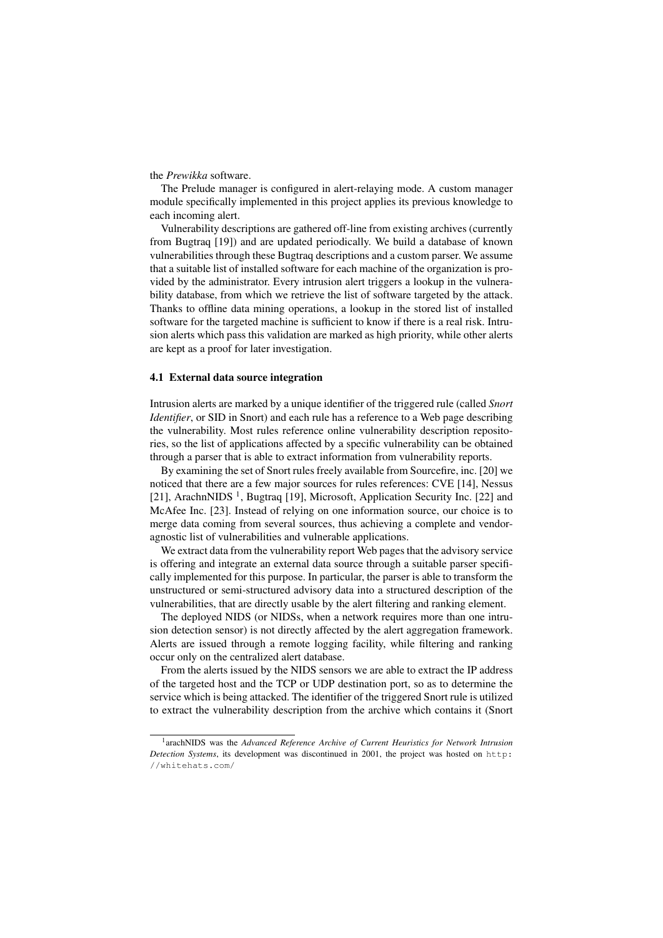#### the *Prewikka* software.

The Prelude manager is configured in alert-relaying mode. A custom manager module specifically implemented in this project applies its previous knowledge to each incoming alert.

Vulnerability descriptions are gathered off-line from existing archives (currently from Bugtraq [19]) and are updated periodically. We build a database of known vulnerabilities through these Bugtraq descriptions and a custom parser. We assume that a suitable list of installed software for each machine of the organization is provided by the administrator. Every intrusion alert triggers a lookup in the vulnerability database, from which we retrieve the list of software targeted by the attack. Thanks to offline data mining operations, a lookup in the stored list of installed software for the targeted machine is sufficient to know if there is a real risk. Intrusion alerts which pass this validation are marked as high priority, while other alerts are kept as a proof for later investigation.

#### 4.1 External data source integration

Intrusion alerts are marked by a unique identifier of the triggered rule (called *Snort Identifier*, or SID in Snort) and each rule has a reference to a Web page describing the vulnerability. Most rules reference online vulnerability description repositories, so the list of applications affected by a specific vulnerability can be obtained through a parser that is able to extract information from vulnerability reports.

By examining the set of Snort rules freely available from Sourcefire, inc. [20] we noticed that there are a few major sources for rules references: CVE [14], Nessus [21], ArachnNIDS<sup>1</sup>, Bugtraq [19], Microsoft, Application Security Inc. [22] and McAfee Inc. [23]. Instead of relying on one information source, our choice is to merge data coming from several sources, thus achieving a complete and vendoragnostic list of vulnerabilities and vulnerable applications.

We extract data from the vulnerability report Web pages that the advisory service is offering and integrate an external data source through a suitable parser specifically implemented for this purpose. In particular, the parser is able to transform the unstructured or semi-structured advisory data into a structured description of the vulnerabilities, that are directly usable by the alert filtering and ranking element.

The deployed NIDS (or NIDSs, when a network requires more than one intrusion detection sensor) is not directly affected by the alert aggregation framework. Alerts are issued through a remote logging facility, while filtering and ranking occur only on the centralized alert database.

From the alerts issued by the NIDS sensors we are able to extract the IP address of the targeted host and the TCP or UDP destination port, so as to determine the service which is being attacked. The identifier of the triggered Snort rule is utilized to extract the vulnerability description from the archive which contains it (Snort

<sup>&</sup>lt;sup>1</sup> arachNIDS was the *Advanced Reference Archive of Current Heuristics for Network Intrusion Detection Systems*, its development was discontinued in 2001, the project was hosted on http: //whitehats.com/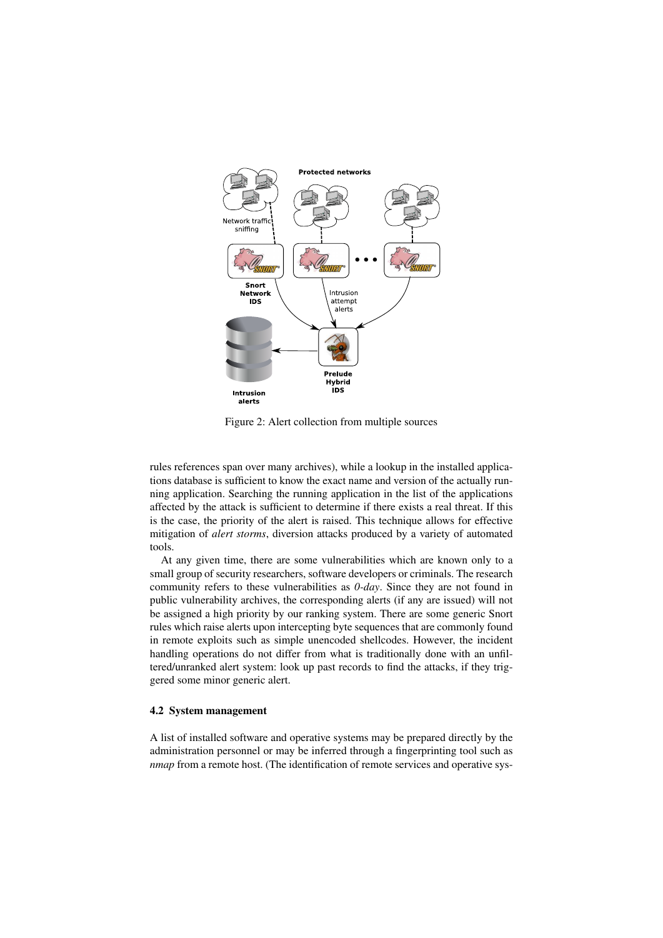

Figure 2: Alert collection from multiple sources

rules references span over many archives), while a lookup in the installed applications database is sufficient to know the exact name and version of the actually running application. Searching the running application in the list of the applications affected by the attack is sufficient to determine if there exists a real threat. If this is the case, the priority of the alert is raised. This technique allows for effective mitigation of *alert storms*, diversion attacks produced by a variety of automated tools.

At any given time, there are some vulnerabilities which are known only to a small group of security researchers, software developers or criminals. The research community refers to these vulnerabilities as *0-day*. Since they are not found in public vulnerability archives, the corresponding alerts (if any are issued) will not be assigned a high priority by our ranking system. There are some generic Snort rules which raise alerts upon intercepting byte sequences that are commonly found in remote exploits such as simple unencoded shellcodes. However, the incident handling operations do not differ from what is traditionally done with an unfiltered/unranked alert system: look up past records to find the attacks, if they triggered some minor generic alert.

## 4.2 System management

A list of installed software and operative systems may be prepared directly by the administration personnel or may be inferred through a fingerprinting tool such as *nmap* from a remote host. (The identification of remote services and operative sys-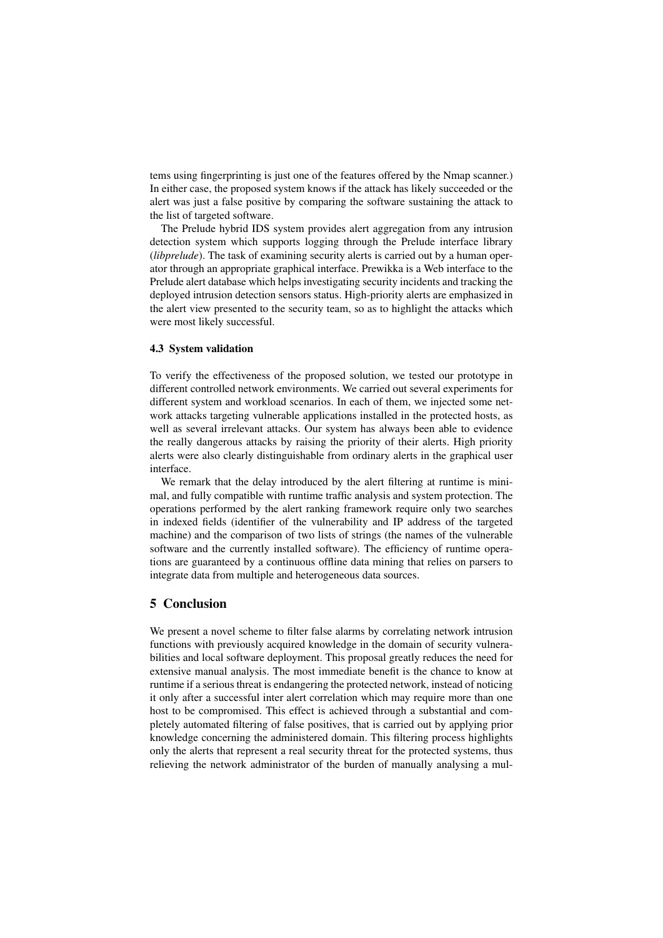tems using fingerprinting is just one of the features offered by the Nmap scanner.) In either case, the proposed system knows if the attack has likely succeeded or the alert was just a false positive by comparing the software sustaining the attack to the list of targeted software.

The Prelude hybrid IDS system provides alert aggregation from any intrusion detection system which supports logging through the Prelude interface library (*libprelude*). The task of examining security alerts is carried out by a human operator through an appropriate graphical interface. Prewikka is a Web interface to the Prelude alert database which helps investigating security incidents and tracking the deployed intrusion detection sensors status. High-priority alerts are emphasized in the alert view presented to the security team, so as to highlight the attacks which were most likely successful.

#### 4.3 System validation

To verify the effectiveness of the proposed solution, we tested our prototype in different controlled network environments. We carried out several experiments for different system and workload scenarios. In each of them, we injected some network attacks targeting vulnerable applications installed in the protected hosts, as well as several irrelevant attacks. Our system has always been able to evidence the really dangerous attacks by raising the priority of their alerts. High priority alerts were also clearly distinguishable from ordinary alerts in the graphical user interface.

We remark that the delay introduced by the alert filtering at runtime is minimal, and fully compatible with runtime traffic analysis and system protection. The operations performed by the alert ranking framework require only two searches in indexed fields (identifier of the vulnerability and IP address of the targeted machine) and the comparison of two lists of strings (the names of the vulnerable software and the currently installed software). The efficiency of runtime operations are guaranteed by a continuous offline data mining that relies on parsers to integrate data from multiple and heterogeneous data sources.

## 5 Conclusion

We present a novel scheme to filter false alarms by correlating network intrusion functions with previously acquired knowledge in the domain of security vulnerabilities and local software deployment. This proposal greatly reduces the need for extensive manual analysis. The most immediate benefit is the chance to know at runtime if a serious threat is endangering the protected network, instead of noticing it only after a successful inter alert correlation which may require more than one host to be compromised. This effect is achieved through a substantial and completely automated filtering of false positives, that is carried out by applying prior knowledge concerning the administered domain. This filtering process highlights only the alerts that represent a real security threat for the protected systems, thus relieving the network administrator of the burden of manually analysing a mul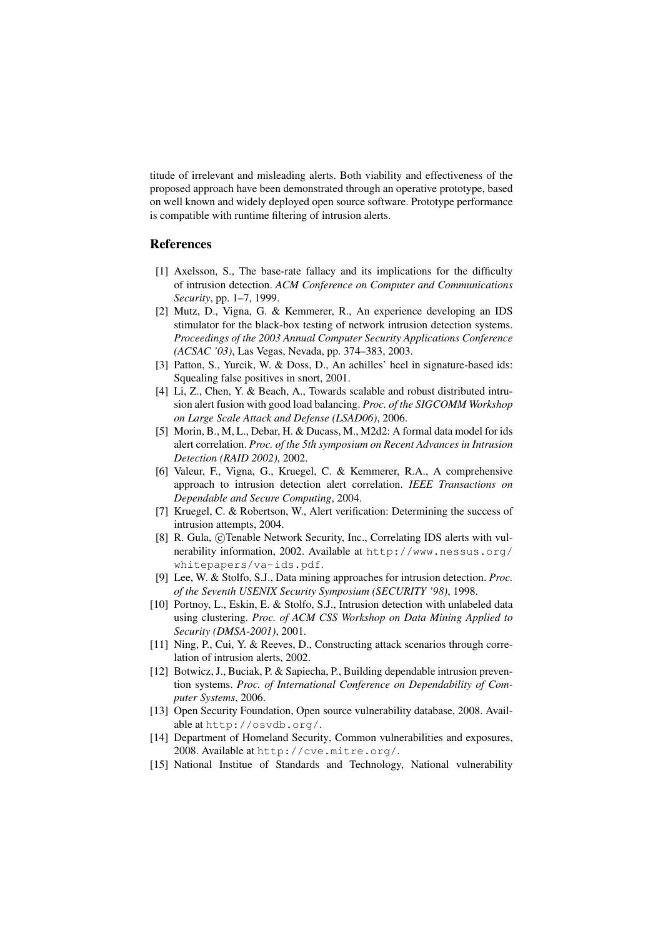titude of irrelevant and misleading alerts. Both viability and effectiveness of the proposed approach have been demonstrated through an operative prototype, based on well known and widely deployed open source software. Prototype performance is compatible with runtime filtering of intrusion alerts.

## References

- [1] Axelsson, S., The base-rate fallacy and its implications for the difficulty of intrusion detection. *ACM Conference on Computer and Communications Security*, pp. 1–7, 1999.
- [2] Mutz, D., Vigna, G. & Kemmerer, R., An experience developing an IDS stimulator for the black-box testing of network intrusion detection systems. *Proceedings of the 2003 Annual Computer Security Applications Conference (ACSAC '03)*, Las Vegas, Nevada, pp. 374–383, 2003.
- [3] Patton, S., Yurcik, W. & Doss, D., An achilles' heel in signature-based ids: Squealing false positives in snort, 2001.
- [4] Li, Z., Chen, Y. & Beach, A., Towards scalable and robust distributed intrusion alert fusion with good load balancing. *Proc. of the SIGCOMM Workshop on Large Scale Attack and Defense (LSAD06)*, 2006.
- [5] Morin, B., M, L., Debar, H. & Ducass, M., M2d2: A formal data model for ids alert correlation. *Proc. of the 5th symposium on Recent Advances in Intrusion Detection (RAID 2002)*, 2002.
- [6] Valeur, F., Vigna, G., Kruegel, C. & Kemmerer, R.A., A comprehensive approach to intrusion detection alert correlation. *IEEE Transactions on Dependable and Secure Computing*, 2004.
- [7] Kruegel, C. & Robertson, W., Alert verification: Determining the success of intrusion attempts, 2004.
- [8] R. Gula, ©Tenable Network Security, Inc., Correlating IDS alerts with vulnerability information, 2002. Available at http://www.nessus.org/ whitepapers/va-ids.pdf.
- [9] Lee, W. & Stolfo, S.J., Data mining approaches for intrusion detection. *Proc. of the Seventh USENIX Security Symposium (SECURITY '98)*, 1998.
- [10] Portnoy, L., Eskin, E. & Stolfo, S.J., Intrusion detection with unlabeled data using clustering. *Proc. of ACM CSS Workshop on Data Mining Applied to Security (DMSA-2001)*, 2001.
- [11] Ning, P., Cui, Y. & Reeves, D., Constructing attack scenarios through correlation of intrusion alerts, 2002.
- [12] Botwicz, J., Buciak, P. & Sapiecha, P., Building dependable intrusion prevention systems. *Proc. of International Conference on Dependability of Computer Systems*, 2006.
- [13] Open Security Foundation, Open source vulnerability database, 2008. Available at http://osvdb.org/.
- [14] Department of Homeland Security, Common vulnerabilities and exposures, 2008. Available at http://cve.mitre.org/.
- [15] National Institue of Standards and Technology, National vulnerability